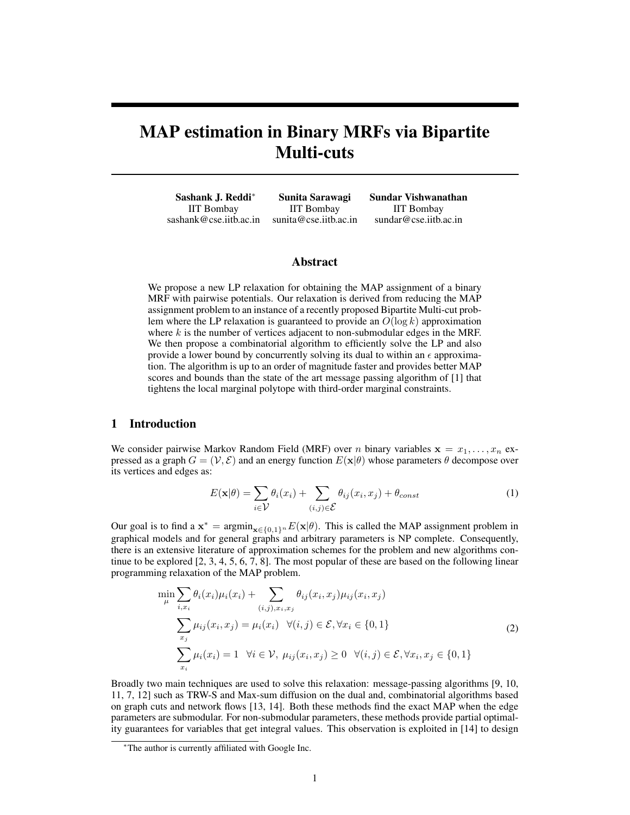# MAP estimation in Binary MRFs via Bipartite Multi-cuts

Sashank J. Reddi<sup>∗</sup> Sunita Sarawagi Sundar Vishwanathan IIT Bombay IIT Bombay IIT Bombay sashank@cse.iitb.ac.in sunita@cse.iitb.ac.in sundar@cse.iitb.ac.in

## Abstract

We propose a new LP relaxation for obtaining the MAP assignment of a binary MRF with pairwise potentials. Our relaxation is derived from reducing the MAP assignment problem to an instance of a recently proposed Bipartite Multi-cut problem where the LP relaxation is guaranteed to provide an  $O(\log k)$  approximation where  $k$  is the number of vertices adjacent to non-submodular edges in the MRF. We then propose a combinatorial algorithm to efficiently solve the LP and also provide a lower bound by concurrently solving its dual to within an  $\epsilon$  approximation. The algorithm is up to an order of magnitude faster and provides better MAP scores and bounds than the state of the art message passing algorithm of [1] that tightens the local marginal polytope with third-order marginal constraints.

## 1 Introduction

We consider pairwise Markov Random Field (MRF) over n binary variables  $x = x_1, \ldots, x_n$  expressed as a graph  $G = (\mathcal{V}, \mathcal{E})$  and an energy function  $E(x|\theta)$  whose parameters  $\theta$  decompose over its vertices and edges as:

$$
E(\mathbf{x}|\theta) = \sum_{i \in \mathcal{V}} \theta_i(x_i) + \sum_{(i,j) \in \mathcal{E}} \theta_{ij}(x_i, x_j) + \theta_{const}
$$
 (1)

Our goal is to find a  $x^* = \text{argmin}_{x \in \{0,1\}^n} E(x|\theta)$ . This is called the MAP assignment problem in graphical models and for general graphs and arbitrary parameters is NP complete. Consequently, there is an extensive literature of approximation schemes for the problem and new algorithms continue to be explored [2, 3, 4, 5, 6, 7, 8]. The most popular of these are based on the following linear programming relaxation of the MAP problem.

$$
\min_{\mu} \sum_{i,x_i} \theta_i(x_i)\mu_i(x_i) + \sum_{(i,j),x_i,x_j} \theta_{ij}(x_i,x_j)\mu_{ij}(x_i,x_j)
$$
\n
$$
\sum_{x_j} \mu_{ij}(x_i,x_j) = \mu_i(x_i) \quad \forall (i,j) \in \mathcal{E}, \forall x_i \in \{0,1\}
$$
\n
$$
\sum_{x_i} \mu_i(x_i) = 1 \quad \forall i \in \mathcal{V}, \ \mu_{ij}(x_i,x_j) \ge 0 \quad \forall (i,j) \in \mathcal{E}, \forall x_i, x_j \in \{0,1\}
$$
\n(2)

Broadly two main techniques are used to solve this relaxation: message-passing algorithms [9, 10, 11, 7, 12] such as TRW-S and Max-sum diffusion on the dual and, combinatorial algorithms based on graph cuts and network flows [13, 14]. Both these methods find the exact MAP when the edge parameters are submodular. For non-submodular parameters, these methods provide partial optimality guarantees for variables that get integral values. This observation is exploited in [14] to design

<sup>∗</sup>The author is currently affiliated with Google Inc.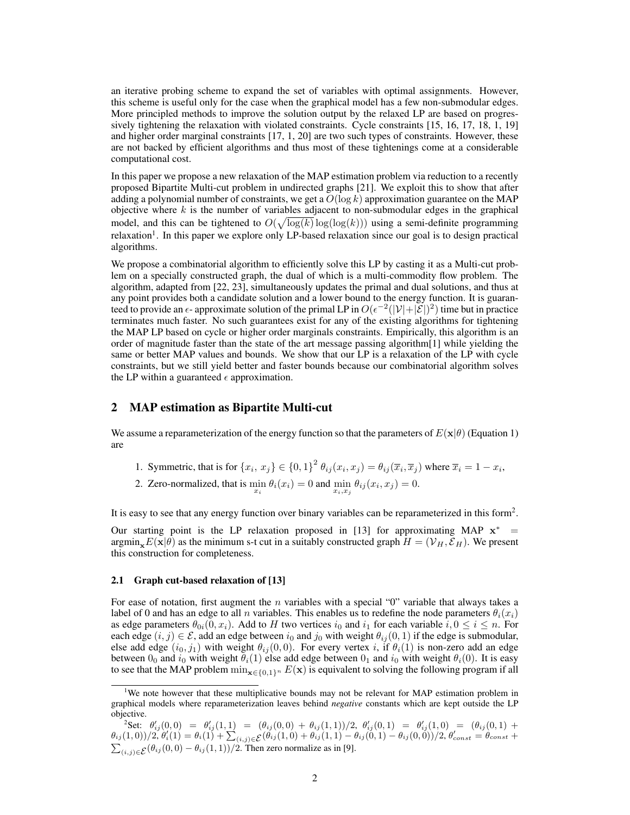an iterative probing scheme to expand the set of variables with optimal assignments. However, this scheme is useful only for the case when the graphical model has a few non-submodular edges. More principled methods to improve the solution output by the relaxed LP are based on progressively tightening the relaxation with violated constraints. Cycle constraints [15, 16, 17, 18, 1, 19] and higher order marginal constraints [17, 1, 20] are two such types of constraints. However, these are not backed by efficient algorithms and thus most of these tightenings come at a considerable computational cost.

In this paper we propose a new relaxation of the MAP estimation problem via reduction to a recently proposed Bipartite Multi-cut problem in undirected graphs [21]. We exploit this to show that after adding a polynomial number of constraints, we get a  $O(\log k)$  approximation guarantee on the MAP objective where  $k$  is the number of variables adjacent to non-submodular edges in the graphical model, and this can be tightened to  $O(\sqrt{\log(k)} \log(\log(k)))$  using a semi-definite programming relaxation<sup>1</sup>. In this paper we explore only LP-based relaxation since our goal is to design practical algorithms.

We propose a combinatorial algorithm to efficiently solve this LP by casting it as a Multi-cut problem on a specially constructed graph, the dual of which is a multi-commodity flow problem. The algorithm, adapted from [22, 23], simultaneously updates the primal and dual solutions, and thus at any point provides both a candidate solution and a lower bound to the energy function. It is guaranteed to provide an  $\epsilon$ - approximate solution of the primal LP in  $O(\epsilon^{-2}(|\mathcal{V}|+|\mathcal{E}|)^2)$  time but in practice terminates much faster. No such guarantees exist for any of the existing algorithms for tightening the MAP LP based on cycle or higher order marginals constraints. Empirically, this algorithm is an order of magnitude faster than the state of the art message passing algorithm[1] while yielding the same or better MAP values and bounds. We show that our LP is a relaxation of the LP with cycle constraints, but we still yield better and faster bounds because our combinatorial algorithm solves the LP within a guaranteed  $\epsilon$  approximation.

## 2 MAP estimation as Bipartite Multi-cut

We assume a reparameterization of the energy function so that the parameters of  $E(\mathbf{x}|\theta)$  (Equation 1) are

- 1. Symmetric, that is for  $\{x_i, x_j\} \in \{0,1\}^2$   $\theta_{ij}(x_i, x_j) = \theta_{ij}(\overline{x}_i, \overline{x}_j)$  where  $\overline{x}_i = 1 x_i$ ,
- 2. Zero-normalized, that is  $\min_{x_i} \theta_i(x_i) = 0$  and  $\min_{x_i, x_j} \theta_{ij}(x_i, x_j) = 0$ .

It is easy to see that any energy function over binary variables can be reparameterized in this form<sup>2</sup>.

Our starting point is the LP relaxation proposed in [13] for approximating MAP  $x^*$  = argmin<sub>x</sub> $E(\mathbf{x}|\theta)$  as the minimum s-t cut in a suitably constructed graph  $H = (\mathcal{V}_H, \mathcal{E}_H)$ . We present this construction for completeness.

#### 2.1 Graph cut-based relaxation of [13]

For ease of notation, first augment the *n* variables with a special " $0$ " variable that always takes a label of 0 and has an edge to all n variables. This enables us to redefine the node parameters  $\theta_i(x_i)$ as edge parameters  $\theta_{0i}(0, x_i)$ . Add to H two vertices  $i_0$  and  $i_1$  for each variable  $i, 0 \le i \le n$ . For each edge  $(i, j) \in \mathcal{E}$ , add an edge between  $i_0$  and  $j_0$  with weight  $\theta_{ij}(0, 1)$  if the edge is submodular, else add edge  $(i_0, j_1)$  with weight  $\theta_{ij} (0, 0)$ . For every vertex i, if  $\theta_i(1)$  is non-zero add an edge between  $0_0$  and  $i_0$  with weight  $\theta_i(1)$  else add edge between  $0_1$  and  $i_0$  with weight  $\theta_i(0)$ . It is easy to see that the MAP problem  $\min_{\mathbf{x} \in \{0,1\}^n} E(\mathbf{x})$  is equivalent to solving the following program if all

<sup>&</sup>lt;sup>1</sup>We note however that these multiplicative bounds may not be relevant for MAP estimation problem in graphical models where reparameterization leaves behind *negative* constants which are kept outside the LP objective.

<sup>&</sup>lt;sup>2</sup>Set:  $\theta'_{ij}(0,0) = \theta'_{ij}(1,1) = (\theta_{ij}(0,0) + \theta_{ij}(1,1))/2, \theta'_{ij}(0,1) = \theta'_{ij}(1,0) = (\theta_{ij}(0,1) + \theta_{ij}(0,1))$  $\theta_{ij}(1,0))/2, \dot{\theta}'_i(1) = \theta_i(1) + \sum_{(i,j) \in \mathcal{E}} (\dot{\theta_{ij}}(1,0) + \dot{\theta_{ij}}(1,1) - \dot{\theta_{ij}}(0,1) - \dot{\theta_{ij}}(0,0))/2, \dot{\theta}'_{const} = \dot{\theta}_{const} + \dot{\theta}_{ij}(1,0) - \dot{\theta}_{ij}(0,0)$  $\sum_{(i,j)\in\mathcal{E}}(\theta_{ij}(0,0)-\theta_{ij}(1,1))/2$ . Then zero normalize as in [9].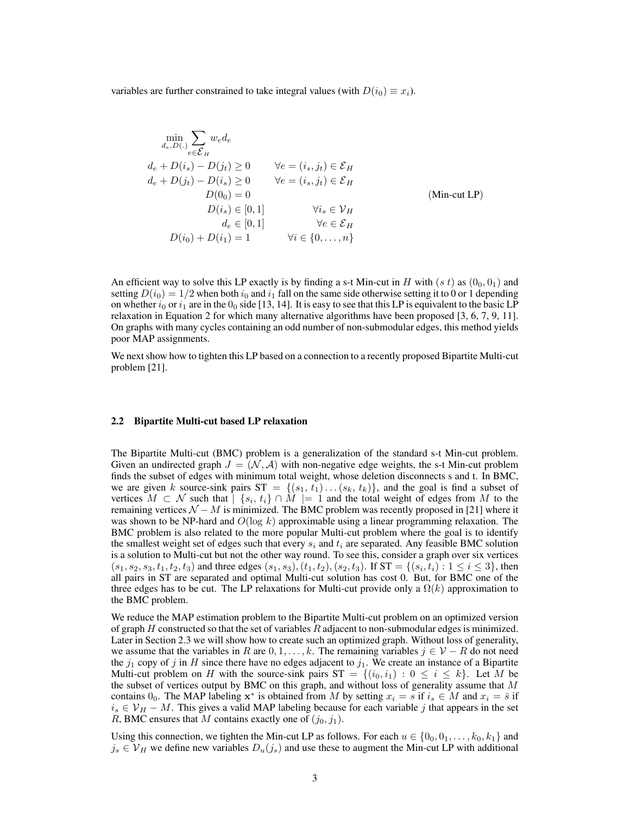variables are further constrained to take integral values (with  $D(i_0) \equiv x_i$ ).

$$
\min_{d_e, D(.)} \sum_{e \in \mathcal{E}_H} w_e d_e
$$
\n
$$
d_e + D(i_s) - D(j_t) \ge 0 \qquad \forall e = (i_s, j_t) \in \mathcal{E}_H
$$
\n
$$
d_e + D(j_t) - D(i_s) \ge 0 \qquad \forall e = (i_s, j_t) \in \mathcal{E}_H
$$
\n
$$
D(0_0) = 0
$$
\n
$$
D(i_s) \in [0, 1] \qquad \forall i_s \in \mathcal{V}_H
$$
\n
$$
d_e \in [0, 1] \qquad \forall e \in \mathcal{E}_H
$$
\n
$$
D(i_0) + D(i_1) = 1 \qquad \forall i \in \{0, ..., n\}
$$
\n
$$
(Min-cut LP)
$$

An efficient way to solve this LP exactly is by finding a s-t Min-cut in H with  $(s t)$  as  $(0<sub>0</sub>, 0<sub>1</sub>)$  and setting  $D(i_0) = 1/2$  when both  $i_0$  and  $i_1$  fall on the same side otherwise setting it to 0 or 1 depending on whether  $i_0$  or  $i_1$  are in the  $0_0$  side [13, 14]. It is easy to see that this LP is equivalent to the basic LP relaxation in Equation 2 for which many alternative algorithms have been proposed [3, 6, 7, 9, 11]. On graphs with many cycles containing an odd number of non-submodular edges, this method yields poor MAP assignments.

We next show how to tighten this LP based on a connection to a recently proposed Bipartite Multi-cut problem [21].

#### 2.2 Bipartite Multi-cut based LP relaxation

The Bipartite Multi-cut (BMC) problem is a generalization of the standard s-t Min-cut problem. Given an undirected graph  $J = (\mathcal{N}, \mathcal{A})$  with non-negative edge weights, the s-t Min-cut problem finds the subset of edges with minimum total weight, whose deletion disconnects s and t. In BMC, we are given k source-sink pairs  $ST = \{(s_1, t_1) \dots (s_k, t_k)\}\$ , and the goal is find a subset of vertices  $M \subset \mathcal{N}$  such that  $| \{s_i, t_i\} \cap M | = 1$  and the total weight of edges from M to the remaining vertices  $N - M$  is minimized. The BMC problem was recently proposed in [21] where it was shown to be NP-hard and  $O(\log k)$  approximable using a linear programming relaxation. The BMC problem is also related to the more popular Multi-cut problem where the goal is to identify the smallest weight set of edges such that every  $s_i$  and  $t_i$  are separated. Any feasible BMC solution is a solution to Multi-cut but not the other way round. To see this, consider a graph over six vertices  $(s_1, s_2, s_3, t_1, t_2, t_3)$  and three edges  $(s_1, s_3), (t_1, t_2), (s_2, t_3)$ . If  $ST = \{(s_i, t_i) : 1 \le i \le 3\}$ , then all pairs in ST are separated and optimal Multi-cut solution has cost 0. But, for BMC one of the three edges has to be cut. The LP relaxations for Multi-cut provide only a  $\Omega(k)$  approximation to the BMC problem.

We reduce the MAP estimation problem to the Bipartite Multi-cut problem on an optimized version of graph  $H$  constructed so that the set of variables  $R$  adjacent to non-submodular edges is minimized. Later in Section 2.3 we will show how to create such an optimized graph. Without loss of generality, we assume that the variables in R are  $0, 1, \ldots, k$ . The remaining variables  $j \in \mathcal{V} - R$  do not need the  $j_1$  copy of j in H since there have no edges adjacent to  $j_1$ . We create an instance of a Bipartite Multi-cut problem on H with the source-sink pairs  $ST = \{(i_0, i_1) : 0 \le i \le k\}$ . Let M be the subset of vertices output by BMC on this graph, and without loss of generality assume that  $M$ contains 0<sub>0</sub>. The MAP labeling  $x^*$  is obtained from M by setting  $x_i = s$  if  $i_s \in M$  and  $x_i = \overline{s}$  if  $i_s \in V_H - M$ . This gives a valid MAP labeling because for each variable j that appears in the set R, BMC ensures that M contains exactly one of  $(j_0, j_1)$ .

Using this connection, we tighten the Min-cut LP as follows. For each  $u \in \{0_0, 0_1, \ldots, k_0, k_1\}$  and  $j_s \in V_H$  we define new variables  $D_u(j_s)$  and use these to augment the Min-cut LP with additional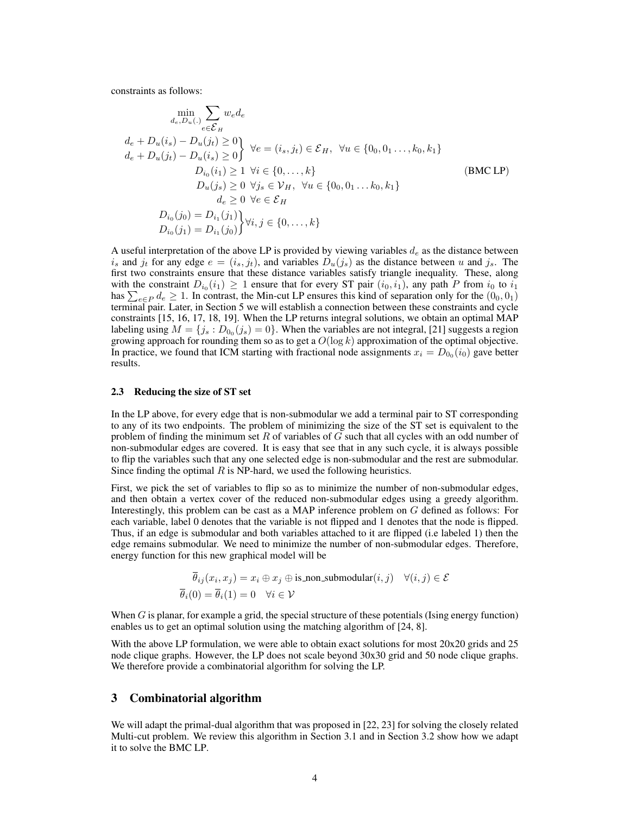constraints as follows:

$$
\min_{d_e, D_u(.)} \sum_{e \in \mathcal{E}_H} w_e d_e
$$
\n
$$
d_e + D_u(i_s) - D_u(j_t) \ge 0
$$
\n
$$
d_e + D_u(j_t) - D_u(i_s) \ge 0
$$
\n
$$
V_e = (i_s, j_t) \in \mathcal{E}_H, \ \forall u \in \{0_0, 0_1, \dots, k_0, k_1\}
$$
\n
$$
D_{i_0}(i_1) \ge 1 \ \forall i \in \{0, \dots, k\}
$$
\n
$$
D_u(j_s) \ge 0 \ \forall j_s \in \mathcal{V}_H, \ \forall u \in \{0_0, 0_1, \dots, k_0, k_1\}
$$
\n
$$
d_e \ge 0 \ \forall e \in \mathcal{E}_H
$$
\n
$$
D_{i_0}(j_0) = D_{i_1}(j_1)
$$
\n
$$
D_{i_0}(j_1) = D_{i_1}(j_0)
$$
\n
$$
V_i, j \in \{0, \dots, k\}
$$
\n
$$
(BM
$$

A useful interpretation of the above LP is provided by viewing variables  $d_e$  as the distance between  $i_s$  and  $j_t$  for any edge  $e = (i_s, j_t)$ , and variables  $D_u(j_s)$  as the distance between u and  $j_s$ . The first two constraints ensure that these distance variables satisfy triangle inequality. These, along with the constraint  $D_{i_0}(i_1) \geq 1$  ensure that for every ST pair  $(i_0, i_1)$ , any path P from  $i_0$  to  $i_1$ has  $\sum_{e \in P} d_e \ge 1$ . In contrast, the Min-cut LP ensures this kind of separation only for the  $(0_0, 0_1)$ terminal pair. Later, in Section 5 we will establish a connection between these constraints and cycle constraints [15, 16, 17, 18, 19]. When the LP returns integral solutions, we obtain an optimal MAP labeling using  $M = \{j_s : D_{0_0}(j_s) = 0\}$ . When the variables are not integral, [21] suggests a region growing approach for rounding them so as to get a  $O(\log k)$  approximation of the optimal objective. In practice, we found that ICM starting with fractional node assignments  $x_i = D_{0}(i_0)$  gave better results.

#### 2.3 Reducing the size of ST set

In the LP above, for every edge that is non-submodular we add a terminal pair to ST corresponding to any of its two endpoints. The problem of minimizing the size of the ST set is equivalent to the problem of finding the minimum set R of variables of  $G$  such that all cycles with an odd number of non-submodular edges are covered. It is easy that see that in any such cycle, it is always possible to flip the variables such that any one selected edge is non-submodular and the rest are submodular. Since finding the optimal  $R$  is NP-hard, we used the following heuristics.

First, we pick the set of variables to flip so as to minimize the number of non-submodular edges, and then obtain a vertex cover of the reduced non-submodular edges using a greedy algorithm. Interestingly, this problem can be cast as a MAP inference problem on G defined as follows: For each variable, label 0 denotes that the variable is not flipped and 1 denotes that the node is flipped. Thus, if an edge is submodular and both variables attached to it are flipped (i.e labeled 1) then the edge remains submodular. We need to minimize the number of non-submodular edges. Therefore, energy function for this new graphical model will be

$$
\theta_{ij}(x_i, x_j) = x_i \oplus x_j \oplus \text{is-non-submodular}(i, j) \quad \forall (i, j) \in \mathcal{E}
$$
  

$$
\overline{\theta}_i(0) = \overline{\theta}_i(1) = 0 \quad \forall i \in \mathcal{V}
$$

When G is planar, for example a grid, the special structure of these potentials (Ising energy function) enables us to get an optimal solution using the matching algorithm of [24, 8].

With the above LP formulation, we were able to obtain exact solutions for most 20x20 grids and 25 node clique graphs. However, the LP does not scale beyond 30x30 grid and 50 node clique graphs. We therefore provide a combinatorial algorithm for solving the LP.

## 3 Combinatorial algorithm

We will adapt the primal-dual algorithm that was proposed in [22, 23] for solving the closely related Multi-cut problem. We review this algorithm in Section 3.1 and in Section 3.2 show how we adapt it to solve the BMC LP.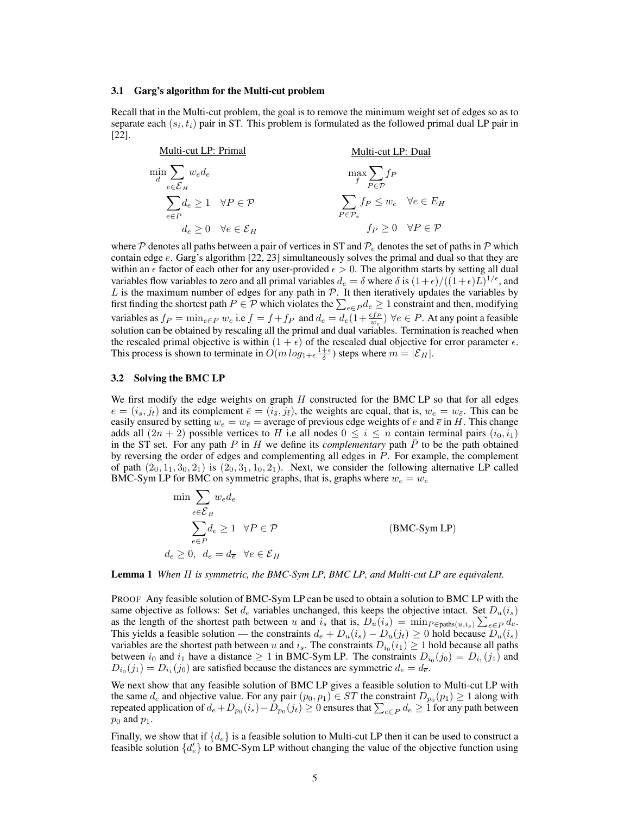#### 3.1 Garg's algorithm for the Multi-cut problem

Recall that in the Multi-cut problem, the goal is to remove the minimum weight set of edges so as to separate each  $(s_i, t_i)$  pair in ST. This problem is formulated as the followed primal dual LP pair in [22].

Multi-cut LP: Primal  $\min_d$  $\sum$  $e ∈ E_H$  $w_{e}d_{e}$  $\sum$ e∈P  $d_e \geq 1 \quad \forall P \in \mathcal{P}$  $d_e \geq 0 \quad \forall e \in \mathcal{E}_H$ Multi-cut LP: Dual max f  $\sum$  $P \in \mathcal{P}$  $f_P$  $\sum$  $_{P \in \mathcal{P}_e}$  $f_P \leq w_e \quad \forall e \in E_H$  $f_P \geq 0 \quad \forall P \in \mathcal{P}$ 

where P denotes all paths between a pair of vertices in ST and  $\mathcal{P}_e$  denotes the set of paths in P which contain edge e. Garg's algorithm [22, 23] simultaneously solves the primal and dual so that they are within an  $\epsilon$  factor of each other for any user-provided  $\epsilon > 0$ . The algorithm starts by setting all dual variables flow variables to zero and all primal variables  $d_e = \delta$  where  $\delta$  is  $(1+\epsilon)/( (1+\epsilon)L)^{1/\epsilon}$ , and  $L$  is the maximum number of edges for any path in  $P$ . It then iteratively updates the variables by first finding the shortest path  $P \in \mathcal{P}$  which violates the  $\sum_{e \in P} d_e \geq 1$  constraint and then, modifying variables as  $f_P = \min_{e \in P} w_e$  i.e  $f = f + f_P$  and  $d_e = d_e(1 + \frac{\epsilon f_P}{w_e}) \forall e \in P$ . At any point a feasible solution can be obtained by rescaling all the primal and dual variables. Termination is reached when the rescaled primal objective is within  $(1 + \epsilon)$  of the rescaled dual objective for error parameter  $\epsilon$ . This process is shown to terminate in  $O(m \log_{1+\epsilon} \frac{1+\epsilon}{\delta})$  steps where  $m = |\mathcal{E}_H|$ .

### 3.2 Solving the BMC LP

We first modify the edge weights on graph  $H$  constructed for the BMC LP so that for all edges  $e = (i_s, j_t)$  and its complement  $\bar{e} = (i_{\bar{s}}, j_{\bar{t}})$ , the weights are equal, that is,  $w_e = w_{\bar{e}}$ . This can be easily ensured by setting  $w_e = w_{\bar{e}} =$  average of previous edge weights of e and  $\bar{e}$  in H. This change adds all  $(2n + 2)$  possible vertices to H i.e all nodes  $0 \le i \le n$  contain terminal pairs  $(i_0, i_1)$ in the ST set. For any path  $P$  in  $H$  we define its *complementary* path  $P$  to be the path obtained by reversing the order of edges and complementing all edges in P. For example, the complement of path  $(2_0, 1_1, 3_0, 2_1)$  is  $(2_0, 3_1, 1_0, 2_1)$ . Next, we consider the following alternative LP called BMC-Sym LP for BMC on symmetric graphs, that is, graphs where  $w_e = w_{\bar{e}}$ 

> $\min$   $\sum$ e∈ ${\cal E}_H$  $w_{e}d_{e}$  $\sum$ e∈P  $d_e \geq 1 \quad \forall P \in \mathcal{P}$  (BMC-Sym LP)  $d_e \geq 0$ ,  $d_e = d_{\overline{e}} \ \ \forall e \in \mathcal{E}_H$

Lemma 1 *When* H *is symmetric, the BMC-Sym LP, BMC LP, and Multi-cut LP are equivalent.*

PROOF Any feasible solution of BMC-Sym LP can be used to obtain a solution to BMC LP with the same objective as follows: Set  $d_e$  variables unchanged, this keeps the objective intact. Set  $D_u(i_s)$ as the length of the shortest path between u and  $i_s$  that is,  $D_u(i_s) = \min_{P \in \text{paths}(u, i_s)} \sum_{e \in P} d_e$ . This yields a feasible solution — the constraints  $d_e + D_u(i_s) - D_u(j_t) \ge 0$  hold because  $D_u(i_s)$ variables are the shortest path between u and  $i_s$ . The constraints  $D_{i_0}(i_1) \geq 1$  hold because all paths between  $i_0$  and  $i_1$  have a distance  $\geq 1$  in BMC-Sym LP. The constraints  $D_{i_0}(j_0) = D_{i_1}(j_1)$  and  $D_{i_0}(j_1) = D_{i_1}(j_0)$  are satisfied because the distances are symmetric  $d_e = d_{\overline{e}}$ .

We next show that any feasible solution of BMC LP gives a feasible solution to Multi-cut LP with the same  $d_e$  and objective value. For any pair  $(p_0, p_1) \in ST$  the constraint  $D_{p_0}(p_1) \ge 1$  along with repeated application of  $d_e+D_{p_0}(i_s)-D_{p_0}(j_t)\geq 0$  ensures that  $\sum_{e\in P}d_e\geq 1$  for any path between  $p_0$  and  $p_1$ .

Finally, we show that if  $\{d_e\}$  is a feasible solution to Multi-cut LP then it can be used to construct a feasible solution  $\{d'_e\}$  to BMC-Sym LP without changing the value of the objective function using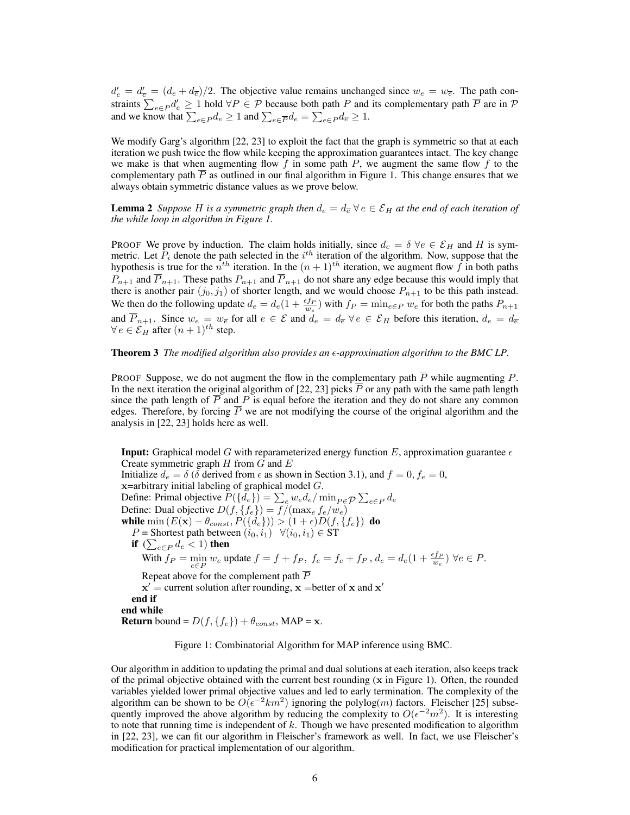$d'_e = d'_{\overline{e}} = (d_e + d_{\overline{e}})/2$ . The objective value remains unchanged since  $w_e = w_{\overline{e}}$ . The path constraints  $\sum_{e \in P} d'_e \ge 1$  hold  $\forall P \in \mathcal{P}$  because both path P and its complementary path  $\overline{P}$  are in  $\mathcal{P}$ and we know that  $\sum_{e \in P} d_e \ge 1$  and  $\sum_{e \in \overline{P}} d_e = \sum_{e \in P} d_{\overline{e}} \ge 1$ .

We modify Garg's algorithm [22, 23] to exploit the fact that the graph is symmetric so that at each iteration we push twice the flow while keeping the approximation guarantees intact. The key change we make is that when augmenting flow f in some path  $P$ , we augment the same flow f to the complementary path  $\overline{P}$  as outlined in our final algorithm in Figure 1. This change ensures that we always obtain symmetric distance values as we prove below.

**Lemma 2** *Suppose* H is a symmetric graph then  $d_e = d_{\overline{e}} \,\forall e \in \mathcal{E}_H$  at the end of each iteration of *the while loop in algorithm in Figure 1.*

PROOF We prove by induction. The claim holds initially, since  $d_e = \delta \ \forall e \in \mathcal{E}_H$  and H is symmetric. Let  $P_i$  denote the path selected in the  $i<sup>th</sup>$  iteration of the algorithm. Now, suppose that the hypothesis is true for the  $n^{th}$  iteration. In the  $(n + 1)^{th}$  iteration, we augment flow f in both paths  $P_{n+1}$  and  $\overline{P}_{n+1}$ . These paths  $P_{n+1}$  and  $\overline{P}_{n+1}$  do not share any edge because this would imply that there is another pair  $(j_0, j_1)$  of shorter length, and we would choose  $P_{n+1}$  to be this path instead. We then do the following update  $d_e = d_e (1 + \frac{\epsilon f_P}{w_e})$  with  $f_P = \min_{e \in P} w_e$  for both the paths  $P_{n+1}$ and  $\overline{P}_{n+1}$ . Since  $w_e = w_{\overline{e}}$  for all  $e \in \mathcal{E}$  and  $d_e = d_{\overline{e}} \forall e \in \mathcal{E}_H$  before this iteration,  $d_e = d_{\overline{e}}$  $\forall e \in \mathcal{E}_H$  after  $(n+1)^{th}$  step.

## Theorem 3 *The modified algorithm also provides an -approximation algorithm to the BMC LP.*

PROOF Suppose, we do not augment the flow in the complementary path  $\overline{P}$  while augmenting P. In the next iteration the original algorithm of [22, 23] picks  $\overline{P}$  or any path with the same path length since the path length of  $\overline{P}$  and  $\overline{P}$  is equal before the iteration and they do not share any common edges. Therefore, by forcing  $P$  we are not modifying the course of the original algorithm and the analysis in [22, 23] holds here as well.

**Input:** Graphical model G with reparameterized energy function E, approximation guarantee  $\epsilon$ Create symmetric graph  $H$  from  $G$  and  $E$ Initialize  $d_e = \delta$  ( $\delta$  derived from  $\epsilon$  as shown in Section 3.1), and  $f = 0, f_e = 0$ , x=arbitrary initial labeling of graphical model G. Define: Primal objective  $P({d_e}) = \sum_e w_e d_e / \min_{P \in \mathcal{P}} \sum_{e \in P} d_e$ Define: Dual objective  $D(f, \{f_e\}) = f/(\max_e f_e/w_e)$ while  $\min(E(\mathbf{x}) - \theta_{const}, P(\lbrace d_e \rbrace)) > (1 + \epsilon)D(f, \lbrace f_e \rbrace)$  do P = Shortest path between  $(i_0, i_1) \quad \forall (i_0, i_1) \in ST$ if  $\ (\sum_{e \in P} d_e < 1)$  then e∈P With  $f_P = \min_{e \in P} w_e$  update  $f = f + f_P$ ,  $f_e = f_e + f_P$ ,  $d_e = d_e(1 + \frac{\epsilon f_P}{w_e}) \ \forall e \in P$ . Repeat above for the complement path  $\overline{P}$  $x'$  = current solution after rounding,  $x$  = better of x and  $x'$ end if end while **Return** bound =  $D(f, \{f_e\}) + \theta_{const}$ , MAP = **x**.

Figure 1: Combinatorial Algorithm for MAP inference using BMC.

Our algorithm in addition to updating the primal and dual solutions at each iteration, also keeps track of the primal objective obtained with the current best rounding (x in Figure 1). Often, the rounded variables yielded lower primal objective values and led to early termination. The complexity of the algorithm can be shown to be  $O(\epsilon^{-2}km^2)$  ignoring the polylog $(m)$  factors. Fleischer [25] subsequently improved the above algorithm by reducing the complexity to  $O(\epsilon^{-2}m^2)$ . It is interesting to note that running time is independent of  $k$ . Though we have presented modification to algorithm in [22, 23], we can fit our algorithm in Fleischer's framework as well. In fact, we use Fleischer's modification for practical implementation of our algorithm.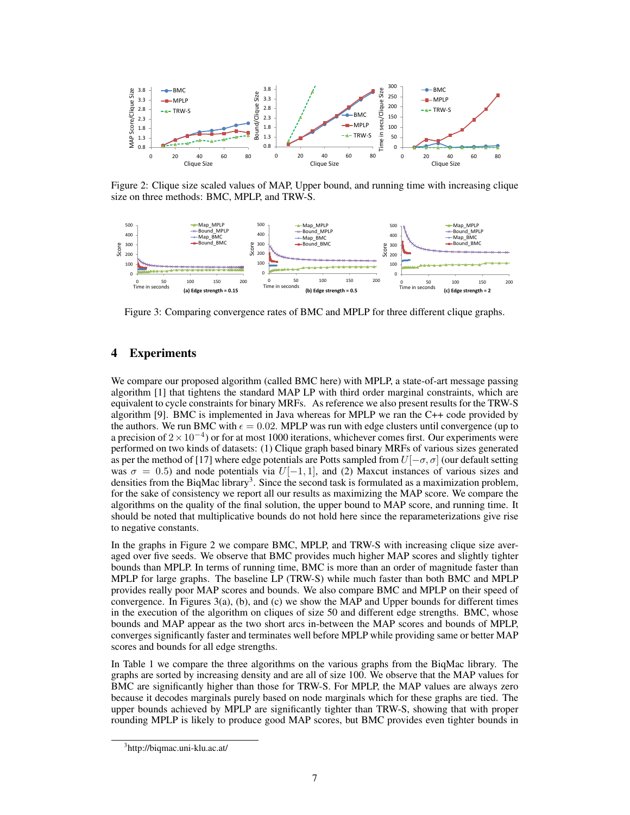

Figure 2: Clique size scaled values of MAP, Upper bound, and running time with increasing clique size on three methods: BMC, MPLP, and TRW-S.



Figure 3: Comparing convergence rates of BMC and MPLP for three different clique graphs.

# 4 Experiments

We compare our proposed algorithm (called BMC here) with MPLP, a state-of-art message passing algorithm [1] that tightens the standard MAP LP with third order marginal constraints, which are equivalent to cycle constraints for binary MRFs. As reference we also present results for the TRW-S algorithm [9]. BMC is implemented in Java whereas for MPLP we ran the C++ code provided by the authors. We run BMC with  $\epsilon = 0.02$ . MPLP was run with edge clusters until convergence (up to a precision of  $2 \times 10^{-4}$ ) or for at most 1000 iterations, whichever comes first. Our experiments were performed on two kinds of datasets: (1) Clique graph based binary MRFs of various sizes generated as per the method of [17] where edge potentials are Potts sampled from  $U[-\sigma, \sigma]$  (our default setting was  $\sigma = 0.5$ ) and node potentials via  $U[-1, 1]$ , and (2) Maxcut instances of various sizes and densities from the BiqMac library<sup>3</sup>. Since the second task is formulated as a maximization problem, for the sake of consistency we report all our results as maximizing the MAP score. We compare the algorithms on the quality of the final solution, the upper bound to MAP score, and running time. It should be noted that multiplicative bounds do not hold here since the reparameterizations give rise to negative constants.

In the graphs in Figure 2 we compare BMC, MPLP, and TRW-S with increasing clique size averaged over five seeds. We observe that BMC provides much higher MAP scores and slightly tighter bounds than MPLP. In terms of running time, BMC is more than an order of magnitude faster than MPLP for large graphs. The baseline LP (TRW-S) while much faster than both BMC and MPLP provides really poor MAP scores and bounds. We also compare BMC and MPLP on their speed of convergence. In Figures 3(a), (b), and (c) we show the MAP and Upper bounds for different times in the execution of the algorithm on cliques of size 50 and different edge strengths. BMC, whose bounds and MAP appear as the two short arcs in-between the MAP scores and bounds of MPLP, converges significantly faster and terminates well before MPLP while providing same or better MAP scores and bounds for all edge strengths.

In Table 1 we compare the three algorithms on the various graphs from the BiqMac library. The graphs are sorted by increasing density and are all of size 100. We observe that the MAP values for BMC are significantly higher than those for TRW-S. For MPLP, the MAP values are always zero because it decodes marginals purely based on node marginals which for these graphs are tied. The upper bounds achieved by MPLP are significantly tighter than TRW-S, showing that with proper rounding MPLP is likely to produce good MAP scores, but BMC provides even tighter bounds in

<sup>3</sup> http://biqmac.uni-klu.ac.at/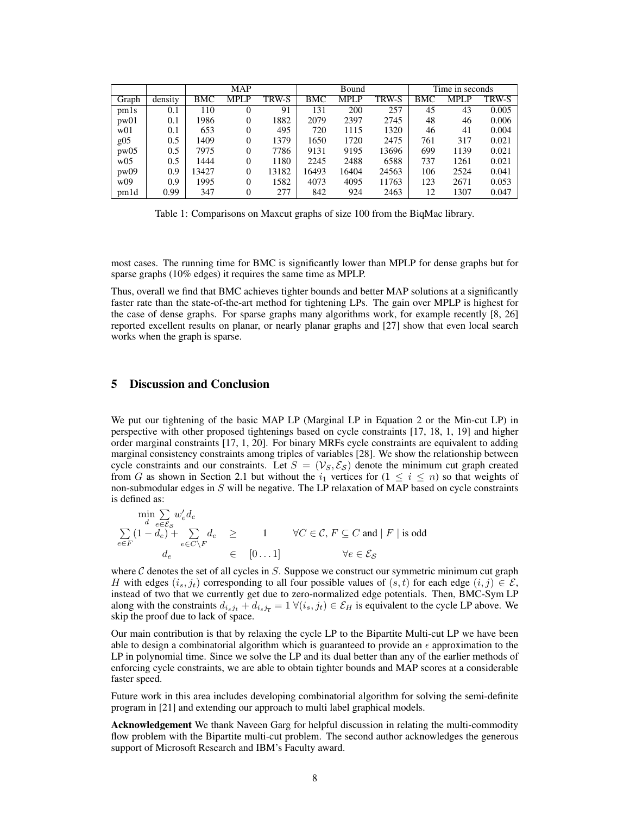|       |         | <b>MAP</b> |             |       | Bound      |             |       | Time in seconds |       |       |
|-------|---------|------------|-------------|-------|------------|-------------|-------|-----------------|-------|-------|
| Graph | density | BMC        | <b>MPLP</b> | TRW-S | <b>BMC</b> | <b>MPLP</b> | TRW-S | <b>BMC</b>      | MPL P | TRW-S |
| pm1s  | 0.1     | 110        | 0           | 91    | 131        | 200         | 257   | 45              | 43    | 0.005 |
| pw01  | 0.1     | 1986       | 0           | 1882  | 2079       | 2397        | 2745  | 48              | 46    | 0.006 |
| w01   | 0.1     | 653        | 0           | 495   | 720        | 1115        | 1320  | 46              | 41    | 0.004 |
| g05   | 0.5     | 1409       | 0           | 1379  | 1650       | 1720        | 2475  | 761             | 317   | 0.021 |
| pw05  | 0.5     | 7975       | 0           | 7786  | 9131       | 9195        | 13696 | 699             | 1139  | 0.021 |
| w05   | 0.5     | 1444       | 0           | 1180  | 2245       | 2488        | 6588  | 737             | 1261  | 0.021 |
| pw09  | 0.9     | 13427      | 0           | 13182 | 16493      | 16404       | 24563 | 106             | 2524  | 0.041 |
| w09   | 0.9     | 1995       | 0           | 1582  | 4073       | 4095        | 11763 | 123             | 2671  | 0.053 |
| pmld  | 0.99    | 347        | 0           | 277   | 842        | 924         | 2463  | 12              | 1307  | 0.047 |

Table 1: Comparisons on Maxcut graphs of size 100 from the BiqMac library.

most cases. The running time for BMC is significantly lower than MPLP for dense graphs but for sparse graphs (10% edges) it requires the same time as MPLP.

Thus, overall we find that BMC achieves tighter bounds and better MAP solutions at a significantly faster rate than the state-of-the-art method for tightening LPs. The gain over MPLP is highest for the case of dense graphs. For sparse graphs many algorithms work, for example recently [8, 26] reported excellent results on planar, or nearly planar graphs and [27] show that even local search works when the graph is sparse.

# 5 Discussion and Conclusion

We put our tightening of the basic MAP LP (Marginal LP in Equation 2 or the Min-cut LP) in perspective with other proposed tightenings based on cycle constraints [17, 18, 1, 19] and higher order marginal constraints [17, 1, 20]. For binary MRFs cycle constraints are equivalent to adding marginal consistency constraints among triples of variables [28]. We show the relationship between cycle constraints and our constraints. Let  $S = (\mathcal{V}_S, \mathcal{E}_S)$  denote the minimum cut graph created from G as shown in Section 2.1 but without the  $i_1$  vertices for  $(1 \le i \le n)$  so that weights of non-submodular edges in  $S$  will be negative. The LP relaxation of MAP based on cycle constraints is defined as:

$$
\begin{array}{rcl} \min\limits_{d} \sum\limits_{e \in \mathcal{E}_\mathcal{S}} w_e' d_e & \\ \sum\limits_{e \in F} (1-d_e) + \sum\limits_{e \in C \backslash F} d_e & \geq & 1 \qquad \forall C \in \mathcal{C}, F \subseteq C \text{ and } \mid F \mid \text{is odd} \\ d_e & \in & [0 \dots 1] \qquad \qquad \forall e \in \mathcal{E}_\mathcal{S} \end{array}
$$

where  $C$  denotes the set of all cycles in  $S$ . Suppose we construct our symmetric minimum cut graph H with edges  $(i_s, j_t)$  corresponding to all four possible values of  $(s, t)$  for each edge  $(i, j) \in \mathcal{E}$ , instead of two that we currently get due to zero-normalized edge potentials. Then, BMC-Sym LP along with the constraints  $d_{i_sj_t} + d_{i_sj_{\overline{t}}} = 1 \ \forall (i_s, j_t) \in \mathcal{E}_H$  is equivalent to the cycle LP above. We skip the proof due to lack of space.

Our main contribution is that by relaxing the cycle LP to the Bipartite Multi-cut LP we have been able to design a combinatorial algorithm which is guaranteed to provide an  $\epsilon$  approximation to the LP in polynomial time. Since we solve the LP and its dual better than any of the earlier methods of enforcing cycle constraints, we are able to obtain tighter bounds and MAP scores at a considerable faster speed.

Future work in this area includes developing combinatorial algorithm for solving the semi-definite program in [21] and extending our approach to multi label graphical models.

Acknowledgement We thank Naveen Garg for helpful discussion in relating the multi-commodity flow problem with the Bipartite multi-cut problem. The second author acknowledges the generous support of Microsoft Research and IBM's Faculty award.